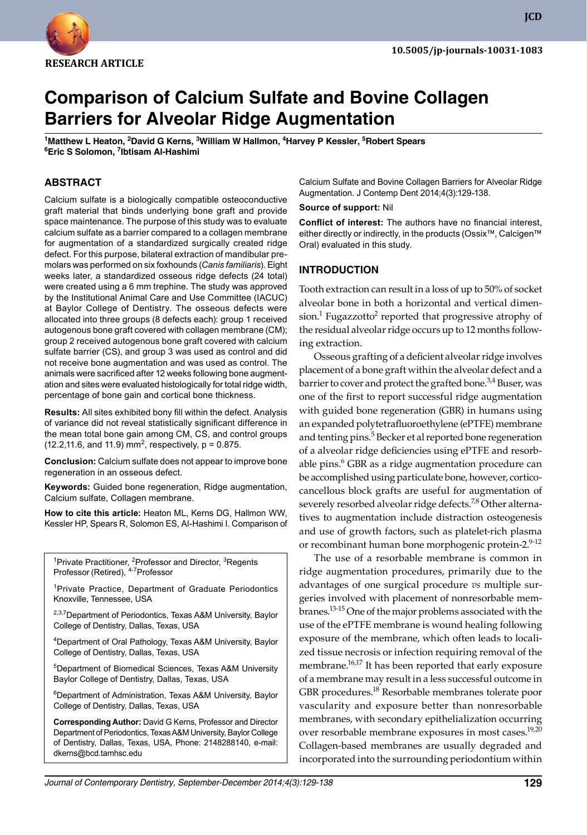

**JCD**

# **Comparison of Calcium Sulfate and Bovine Collagen Barriers for Alveolar Ridge Augmentation**

**<sup>1</sup>Matthew L Heaton, 2David G Kerns, 3William W Hallmon, 4Harvey P Kessler, 5Robert Spears <sup>6</sup>Eric S Solomon, <sup>7</sup> Ibtisam Al-Hashimi**

#### **ABSTRACT**

Calcium sulfate is a biologically compatible osteoconductive graft material that binds underlying bone graft and provide space maintenance. The purpose of this study was to evaluate calcium sulfate as a barrier compared to a collagen membrane for augmentation of a standardized surgically created ridge defect. For this purpose, bilateral extraction of mandibular premolars was performed on six foxhounds (*Canis familiaris*). Eight weeks later, a standardized osseous ridge defects (24 total) were created using a 6 mm trephine. The study was approved by the Institutional Animal Care and Use Committee (IACUC) at Baylor College of Dentistry. The osseous defects were allocated into three groups (8 defects each): group 1 received autogenous bone graft covered with collagen membrane (CM); group 2 received autogenous bone graft covered with calcium sulfate barrier (CS), and group 3 was used as control and did not receive bone augmentation and was used as control. The animals were sacrificed after 12 weeks following bone augmentation and sites were evaluated histologically for total ridge width, percentage of bone gain and cortical bone thickness.

**Results:** All sites exhibited bony fill within the defect. Analysis of variance did not reveal statistically significant difference in the mean total bone gain among CM, CS, and control groups  $(12.2, 11.6,$  and 11.9) mm<sup>2</sup>, respectively, p = 0.875.

**Conclusion:** Calcium sulfate does not appear to improve bone regeneration in an osseous defect.

**Keywords:** Guided bone regeneration, Ridge augmentation, Calcium sulfate, Collagen membrane.

**How to cite this article:** Heaton ML, Kerns DG, Hallmon WW, Kessler HP, Spears R, Solomon ES, Al-Hashimi I. Comparison of

<sup>1</sup>Private Practitioner, <sup>2</sup>Professor and Director,  $3$ Regents Professor (Retired), 4-7Professor

<sup>1</sup>Private Practice, Department of Graduate Periodontics Knoxville, Tennessee, USA

<sup>2,3,7</sup>Department of Periodontics, Texas A&M University, Baylor College of Dentistry, Dallas, Texas, USA

<sup>4</sup>Department of Oral Pathology, Texas A&M University, Baylor College of Dentistry, Dallas, Texas, USA

<sup>5</sup>Department of Biomedical Sciences, Texas A&M University Baylor College of Dentistry, Dallas, Texas, USA

<sup>6</sup>Department of Administration, Texas A&M University, Baylor College of Dentistry, Dallas, Texas, USA

**Corresponding Author:** David G Kerns, Professor and Director Department of Periodontics, Texas A&M University, Baylor College of Dentistry, Dallas, Texas, USA, Phone: 2148288140, e-mail: dkerns@bcd.tamhsc.edu

Calcium Sulfate and Bovine Collagen Barriers for Alveolar Ridge Augmentation. J Contemp Dent 2014;4(3):129-138.

**Source of support:** Nil

**Conflict of interest:** The authors have no financial interest, either directly or indirectly, in the products (Ossix™, Calcigen™ Oral) evaluated in this study.

#### **InTRoDuCTIon**

Tooth extraction can result in a loss of up to 50% of socket alveolar bone in both a horizontal and vertical dimension. $^1$  Fugazzotto $^2$  reported that progressive atrophy of the residual alveolar ridge occurs up to 12 months following extraction.

Osseous grafting of a deficient alveolar ridge involves placement of a bone graft within the alveolar defect and a barrier to cover and protect the grafted bone.<sup>3,4</sup> Buser, was one of the first to report successful ridge augmentation with guided bone regeneration (GBR) in humans using an expanded polytetrafluoroethylene (ePTFE) membrane and tenting pins.<sup>5</sup> Becker et al reported bone regeneration of a alveolar ridge deficiencies using ePTFE and resorbable pins.<sup>6</sup> GBR as a ridge augmentation procedure can be accomplished using particulate bone, however, corticocancellous block grafts are useful for augmentation of severely resorbed alveolar ridge defects.<sup>7,8</sup> Other alternatives to augmentation include distraction osteogenesis and use of growth factors, such as platelet-rich plasma or recombinant human bone morphogenic protein-2.9-12

 The use of a resorbable membrane is common in ridge augmentation procedures, primarily due to the advantages of one surgical procedure *vs* multiple surgeries involved with placement of nonresorbable membranes.13-15 One of the major problems associated with the use of the ePTFE membrane is wound healing following exposure of the membrane, which often leads to localized tissue necrosis or infection requiring removal of the membrane.<sup>16,17</sup> It has been reported that early exposure of a membrane may result in a less successful outcome in GBR procedures.<sup>18</sup> Resorbable membranes tolerate poor vascularity and exposure better than nonresorbable membranes, with secondary epithelialization occurring over resorbable membrane exposures in most cases.<sup>19,20</sup> Collagen-based membranes are usually degraded and incorporated into the surrounding periodontium within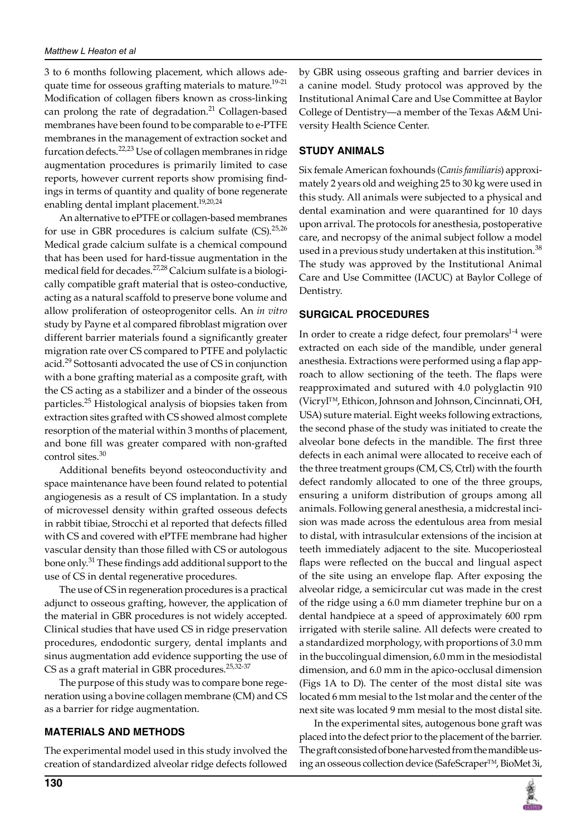3 to 6 months following placement, which allows adequate time for osseous grafting materials to mature.<sup>19-21</sup> Modification of collagen fibers known as cross-linking can prolong the rate of degradation. $^{21}$  Collagen-based membranes have been found to be comparable to e-PTFE membranes in the management of extraction socket and furcation defects.<sup>22,23</sup> Use of collagen membranes in ridge augmentation procedures is primarily limited to case reports, however current reports show promising findings in terms of quantity and quality of bone regenerate enabling dental implant placement.<sup>19,20,24</sup>

An alternative to ePTFE or collagen-based membranes for use in GBR procedures is calcium sulfate (CS). $^{25,26}$ Medical grade calcium sulfate is a chemical compound that has been used for hard-tissue augmentation in the medical field for decades.<sup>27,28</sup> Calcium sulfate is a biologically compatible graft material that is osteo-conductive, acting as a natural scaffold to preserve bone volume and allow proliferation of osteoprogenitor cells. An *in vitro* study by Payne et al compared fibroblast migration over different barrier materials found a significantly greater migration rate over CS compared to PTFE and polylactic acid.<sup>29</sup> Sottosanti advocated the use of CS in conjunction with a bone grafting material as a composite graft, with the CS acting as a stabilizer and a binder of the osseous particles.<sup>25</sup> Histological analysis of biopsies taken from extraction sites grafted with CS showed almost complete resorption of the material within 3 months of placement, and bone fill was greater compared with non-grafted control sites.<sup>30</sup>

Additional benefits beyond osteoconductivity and space maintenance have been found related to potential angiogenesis as a result of CS implantation. In a study of microvessel density within grafted osseous defects in rabbit tibiae, Strocchi et al reported that defects filled with CS and covered with ePTFE membrane had higher vascular density than those filled with CS or autologous bone only.<sup>31</sup> These findings add additional support to the use of CS in dental regenerative procedures.

 The use of CS in regeneration procedures is a practical adjunct to osseous grafting, however, the application of the material in GBR procedures is not widely accepted. Clinical studies that have used CS in ridge preservation procedures, endodontic surgery, dental implants and sinus augmentation add evidence supporting the use of CS as a graft material in GBR procedures.<sup>25,32-37</sup>

 The purpose of this study was to compare bone regeneration using a bovine collagen membrane (CM) and CS as a barrier for ridge augmentation.

## **MATERIALS AnD METHoDS**

The experimental model used in this study involved the creation of standardized alveolar ridge defects followed by GBR using osseous grafting and barrier devices in a canine model. Study protocol was approved by the Institutional Animal Care and Use Committee at Baylor College of Dentistry—a member of the Texas A&M University Health Science Center.

#### **STuDy AnIMALS**

Six female American foxhounds (*Canis familiaris*) approximately 2 years old and weighing 25 to 30 kg were used in this study. All animals were subjected to a physical and dental examination and were quarantined for 10 days upon arrival. The protocols for anesthesia, postoperative care, and necropsy of the animal subject follow a model used in a previous study undertaken at this institution.<sup>38</sup> The study was approved by the Institutional Animal Care and Use Committee (IACUC) at Baylor College of Dentistry.

#### **SuRGICAL PRoCEDuRES**

In order to create a ridge defect, four premolars $1-4$  were extracted on each side of the mandible, under general anesthesia. Extractions were performed using a flap approach to allow sectioning of the teeth. The flaps were reapproximated and sutured with 4.0 polyglactin 910 (Vicryl™, Ethicon, Johnson and Johnson, Cincinnati, OH, USA) suture material. Eight weeks following extractions, the second phase of the study was initiated to create the alveolar bone defects in the mandible. The first three defects in each animal were allocated to receive each of the three treatment groups (CM, CS, Ctrl) with the fourth defect randomly allocated to one of the three groups, ensuring a uniform distribution of groups among all animals. Following general anesthesia, a midcrestal incision was made across the edentulous area from mesial to distal, with intrasulcular extensions of the incision at teeth immediately adjacent to the site. Mucoperiosteal flaps were reflected on the buccal and lingual aspect of the site using an envelope flap. After exposing the alveolar ridge, a semicircular cut was made in the crest of the ridge using a 6.0 mm diameter trephine bur on a dental handpiece at a speed of approximately 600 rpm irrigated with sterile saline. All defects were created to a standardized morphology, with proportions of 3.0 mm in the buccolingual dimension, 6.0 mm in the mesiodistal dimension, and 6.0 mm in the apico-occlusal dimension (Figs 1A to D). The center of the most distal site was located 6 mm mesial to the 1st molar and the center of the next site was located 9 mm mesial to the most distal site.

 In the experimental sites, autogenous bone graft was placed into the defect prior to the placement of the barrier. The graft consisted of bone harvested from the mandible using an osseous collection device (SafeScraper™, BioMet 3i,

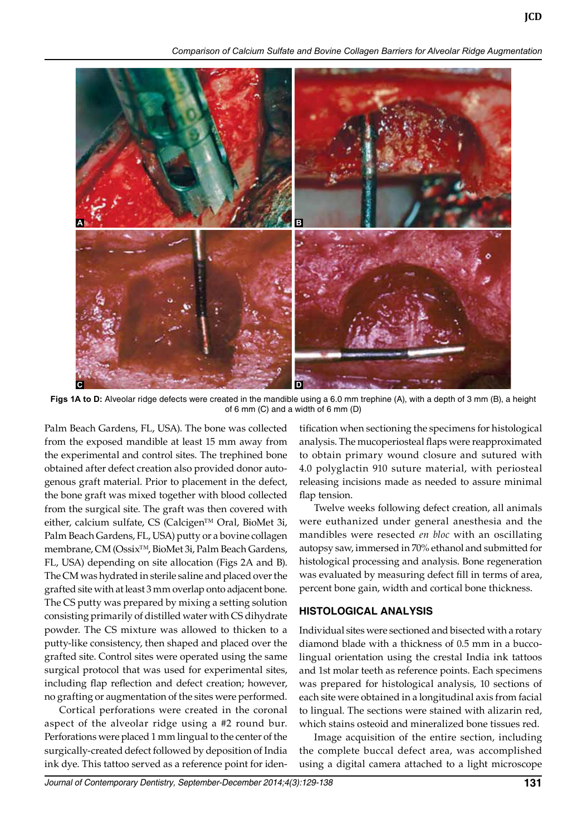*Comparison of Calcium Sulfate and Bovine Collagen Barriers for Alveolar Ridge Augmentation*



**Figs 1A to D:** Alveolar ridge defects were created in the mandible using a 6.0 mm trephine (A), with a depth of 3 mm (B), a height of 6 mm (C) and a width of 6 mm (D)

Palm Beach Gardens, FL, USA). The bone was collected from the exposed mandible at least 15 mm away from the experimental and control sites. The trephined bone obtained after defect creation also provided donor autogenous graft material. Prior to placement in the defect, the bone graft was mixed together with blood collected from the surgical site. The graft was then covered with either, calcium sulfate, CS (Calcigen™ Oral, BioMet 3i, Palm Beach Gardens, FL, USA) putty or a bovine collagen membrane, CM (Ossix™, BioMet 3i, Palm Beach Gardens, FL, USA) depending on site allocation (Figs 2A and B). The CM was hydrated in sterile saline and placed over the grafted site with at least 3 mm overlap onto adjacent bone. The CS putty was prepared by mixing a setting solution consisting primarily of distilled water with CS dihydrate powder. The CS mixture was allowed to thicken to a putty-like consistency, then shaped and placed over the grafted site. Control sites were operated using the same surgical protocol that was used for experimental sites, including flap reflection and defect creation; however, no grafting or augmentation of the sites were performed.

 Cortical perforations were created in the coronal aspect of the alveolar ridge using a #2 round bur. Perforations were placed 1 mm lingual to the center of the surgically-created defect followed by deposition of India ink dye. This tattoo served as a reference point for identification when sectioning the specimens for histological analysis. The mucoperiosteal flaps were reapproximated to obtain primary wound closure and sutured with 4.0 polyglactin 910 suture material, with periosteal releasing incisions made as needed to assure minimal flap tension.

 Twelve weeks following defect creation, all animals were euthanized under general anesthesia and the mandibles were resected *en bloc* with an oscillating autopsy saw, immersed in 70% ethanol and submitted for histological processing and analysis. Bone regeneration was evaluated by measuring defect fill in terms of area, percent bone gain, width and cortical bone thickness.

#### **HISToLoGICAL AnALySIS**

Individual sites were sectioned and bisected with a rotary diamond blade with a thickness of 0.5 mm in a buccolingual orientation using the crestal India ink tattoos and 1st molar teeth as reference points. Each specimens was prepared for histological analysis, 10 sections of each site were obtained in a longitudinal axis from facial to lingual. The sections were stained with alizarin red, which stains osteoid and mineralized bone tissues red.

 Image acquisition of the entire section, including the complete buccal defect area, was accomplished using a digital camera attached to a light microscope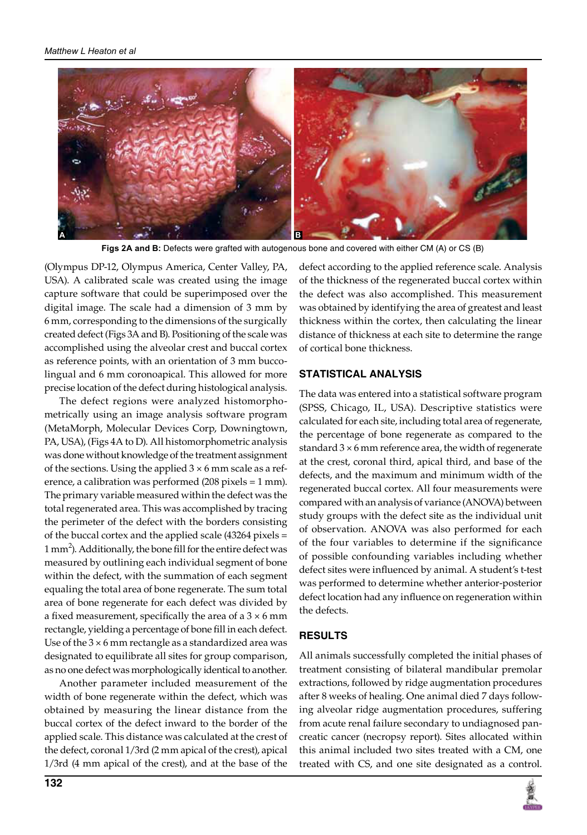

**Figs 2A and B:** Defects were grafted with autogenous bone and covered with either CM (A) or CS (B)

(Olympus DP-12, Olympus America, Center Valley, PA, USA). A calibrated scale was created using the image capture software that could be superimposed over the digital image. The scale had a dimension of 3 mm by 6 mm, corresponding to the dimensions of the surgically created defect (Figs 3A and B). Positioning of the scale was accomplished using the alveolar crest and buccal cortex as reference points, with an orientation of 3 mm buccolingual and 6 mm coronoapical. This allowed for more precise location of the defect during histological analysis.

 The defect regions were analyzed histomorphometrically using an image analysis software program (MetaMorph, Molecular Devices Corp, Downingtown, PA, USA), (Figs 4A to D). All histomorphometric analysis was done without knowledge of the treatment assignment of the sections. Using the applied  $3 \times 6$  mm scale as a reference, a calibration was performed (208 pixels = 1 mm). The primary variable measured within the defect was the total regenerated area. This was accomplished by tracing the perimeter of the defect with the borders consisting of the buccal cortex and the applied scale (43264 pixels =  $1 \text{ mm}^2$ ). Additionally, the bone fill for the entire defect was measured by outlining each individual segment of bone within the defect, with the summation of each segment equaling the total area of bone regenerate. The sum total area of bone regenerate for each defect was divided by a fixed measurement, specifically the area of a  $3 \times 6$  mm rectangle, yielding a percentage of bone fill in each defect. Use of the  $3 \times 6$  mm rectangle as a standardized area was designated to equilibrate all sites for group comparison, as no one defect was morphologically identical to another.

 Another parameter included measurement of the width of bone regenerate within the defect, which was obtained by measuring the linear distance from the buccal cortex of the defect inward to the border of the applied scale. This distance was calculated at the crest of the defect, coronal 1/3rd (2 mm apical of the crest), apical 1/3rd (4 mm apical of the crest), and at the base of the

defect according to the applied reference scale. Analysis of the thickness of the regenerated buccal cortex within the defect was also accomplished. This measurement was obtained by identifying the area of greatest and least thickness within the cortex, then calculating the linear distance of thickness at each site to determine the range of cortical bone thickness.

## **STATISTICAL AnALySIS**

The data was entered into a statistical software program (SPSS, Chicago, IL, USA). Descriptive statistics were calculated for each site, including total area of regenerate, the percentage of bone regenerate as compared to the standard  $3 \times 6$  mm reference area, the width of regenerate at the crest, coronal third, apical third, and base of the defects, and the maximum and minimum width of the regenerated buccal cortex. All four measurements were compared with an analysis of variance (ANOVA) between study groups with the defect site as the individual unit of observation. ANOVA was also performed for each of the four variables to determine if the significance of possible confounding variables including whether defect sites were influenced by animal. A student's t-test was performed to determine whether anterior-posterior defect location had any influence on regeneration within the defects.

## **RESuLTS**

All animals successfully completed the initial phases of treatment consisting of bilateral mandibular premolar extractions, followed by ridge augmentation procedures after 8 weeks of healing. One animal died 7 days following alveolar ridge augmentation procedures, suffering from acute renal failure secondary to undiagnosed pancreatic cancer (necropsy report). Sites allocated within this animal included two sites treated with a CM, one treated with CS, and one site designated as a control.

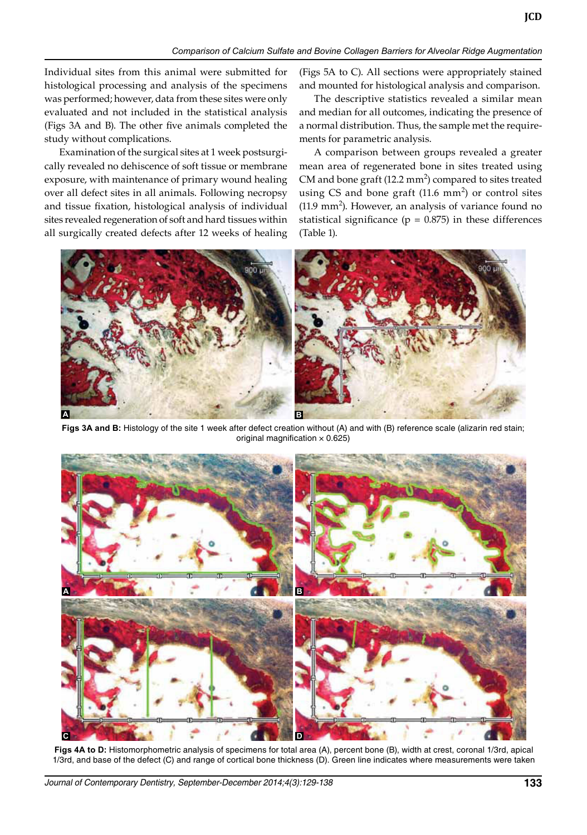*Comparison of Calcium Sulfate and Bovine Collagen Barriers for Alveolar Ridge Augmentation*

Individual sites from this animal were submitted for histological processing and analysis of the specimens was performed; however, data from these sites were only evaluated and not included in the statistical analysis (Figs 3A and B). The other five animals completed the study without complications.

Examination of the surgical sites at 1 week postsurgically revealed no dehiscence of soft tissue or membrane exposure, with maintenance of primary wound healing over all defect sites in all animals. Following necropsy and tissue fixation, histological analysis of individual sites revealed regeneration of soft and hard tissues within all surgically created defects after 12 weeks of healing

(Figs 5A to C). All sections were appropriately stained and mounted for histological analysis and comparison.

**JCD**

 The descriptive statistics revealed a similar mean and median for all outcomes, indicating the presence of a normal distribution. Thus, the sample met the requirements for parametric analysis.

 A comparison between groups revealed a greater mean area of regenerated bone in sites treated using CM and bone graft (12.2  $mm<sup>2</sup>$ ) compared to sites treated using CS and bone graft  $(11.6 \text{ mm}^2)$  or control sites  $(11.9 \text{ mm}^2)$ . However, an analysis of variance found no statistical significance ( $p = 0.875$ ) in these differences (Table 1).



Figs 3A and B: Histology of the site 1 week after defect creation without (A) and with (B) reference scale (alizarin red stain; original magnification  $\times$  0.625)



**Figs 4A to D:** Histomorphometric analysis of specimens for total area (A), percent bone (B), width at crest, coronal 1/3rd, apical 1/3rd, and base of the defect (C) and range of cortical bone thickness (D). Green line indicates where measurements were taken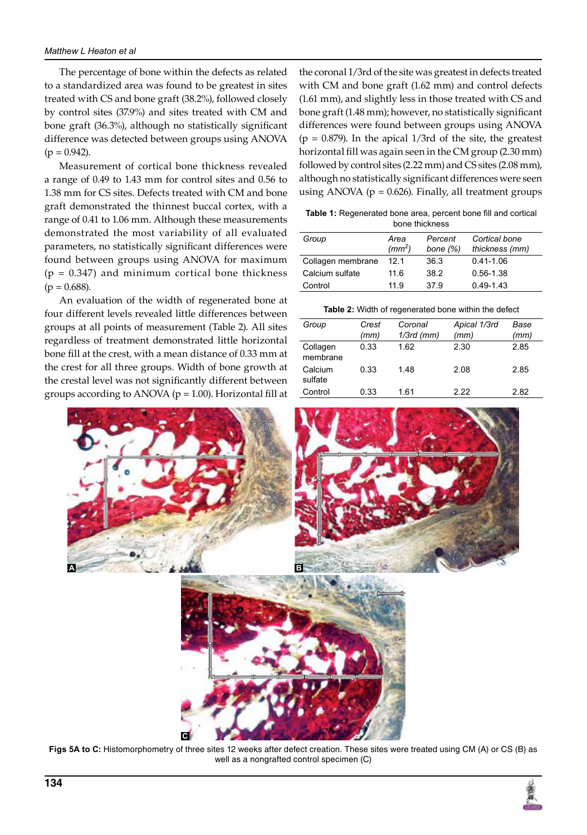The percentage of bone within the defects as related to a standardized area was found to be greatest in sites treated with CS and bone graft (38.2%), followed closely by control sites (37.9%) and sites treated with CM and bone graft (36.3%), although no statistically significant difference was detected between groups using ANOVA  $(p = 0.942)$ .

 Measurement of cortical bone thickness revealed a range of 0.49 to 1.43 mm for control sites and 0.56 to 1.38 mm for CS sites. Defects treated with CM and bone graft demonstrated the thinnest buccal cortex, with a range of 0.41 to 1.06 mm. Although these measurements demonstrated the most variability of all evaluated parameters, no statistically significant differences were found between groups using ANOVA for maximum  $(p = 0.347)$  and minimum cortical bone thickness  $(p = 0.688)$ .

 An evaluation of the width of regenerated bone at four different levels revealed little differences between groups at all points of measurement (Table 2). All sites regardless of treatment demonstrated little horizontal bone fill at the crest, with a mean distance of 0.33 mm at the crest for all three groups. Width of bone growth at the crestal level was not significantly different between groups according to ANOVA ( $p = 1.00$ ). Horizontal fill at

**C**

the coronal 1/3rd of the site was greatest in defects treated with CM and bone graft (1.62 mm) and control defects (1.61 mm), and slightly less in those treated with CS and bone graft (1.48 mm); however, no statistically significant differences were found between groups using ANOVA  $(p = 0.879)$ . In the apical 1/3rd of the site, the greatest horizontal fill was again seen in the CM group (2.30  $mm$ ) followed by control sites (2.22 mm) and CS sites (2.08 mm), although no statistically significant differences were seen using ANOVA ( $p = 0.626$ ). Finally, all treatment groups

**Table 1:** Regenerated bone area, percent bone fill and cortical bone thickness

| Group             | Area<br>(mm <sup>2</sup> ) | Percent<br>bone $(%)$ | Cortical bone<br>thickness (mm) |
|-------------------|----------------------------|-----------------------|---------------------------------|
| Collagen membrane | 12.1                       | 36.3                  | $0.41 - 1.06$                   |
| Calcium sulfate   | 11.6                       | 38.2                  | $0.56 - 1.38$                   |
| Control           | 11.9                       | 37.9                  | $0.49 - 1.43$                   |

| Group                | Crest<br>(mm) | Coronal<br>$1/3rd$ (mm) | Apical 1/3rd<br>(mm) | Base<br>(mm) |
|----------------------|---------------|-------------------------|----------------------|--------------|
| Collagen<br>membrane | 0.33          | 1.62                    | 2.30                 | 2.85         |
| Calcium<br>sulfate   | 0.33          | 1.48                    | 2.08                 | 2.85         |
| Control              | 0.33          | 1.61                    | 2.22                 | 2.82         |



**Figs 5A to C:** Histomorphometry of three sites 12 weeks after defect creation. These sites were treated using CM (A) or CS (B) as well as a nongrafted control specimen (C)

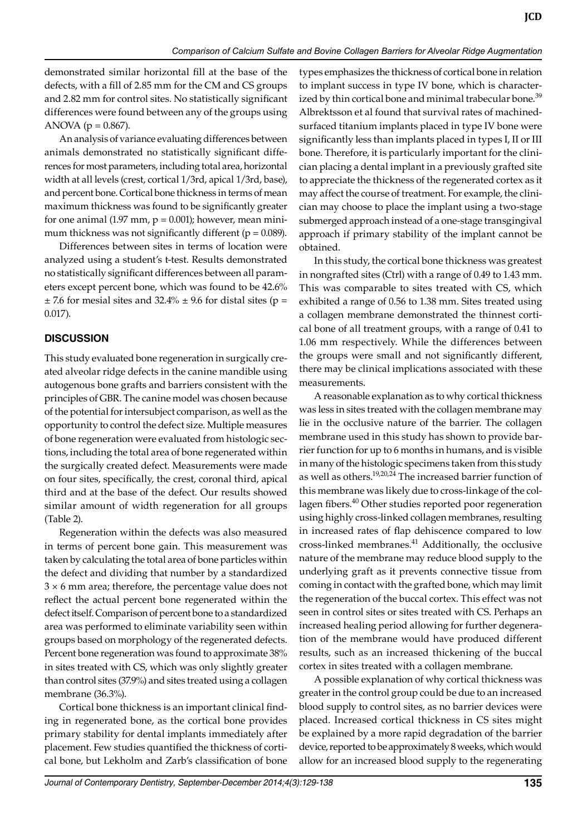demonstrated similar horizontal fill at the base of the defects, with a fill of 2.85 mm for the CM and CS groups and 2.82 mm for control sites. No statistically significant differences were found between any of the groups using ANOVA ( $p = 0.867$ ).

An analysis of variance evaluating differences between animals demonstrated no statistically significant differences for most parameters, including total area, horizontal width at all levels (crest, cortical 1/3rd, apical 1/3rd, base), and percent bone. Cortical bone thickness in terms of mean maximum thickness was found to be significantly greater for one animal  $(1.97 \text{ mm}, \text{p} = 0.001)$ ; however, mean minimum thickness was not significantly different ( $p = 0.089$ ).

 Differences between sites in terms of location were analyzed using a student's t-test. Results demonstrated no statistically significant differences between all parameters except percent bone, which was found to be 42.6%  $\pm$  7.6 for mesial sites and 32.4%  $\pm$  9.6 for distal sites (p = 0.017).

## **DISCuSSIon**

This study evaluated bone regeneration in surgically created alveolar ridge defects in the canine mandible using autogenous bone grafts and barriers consistent with the principles of GBR. The canine model was chosen because of the potential for intersubject comparison, as well as the opportunity to control the defect size. Multiple measures of bone regeneration were evaluated from histologic sections, including the total area of bone regenerated within the surgically created defect. Measurements were made on four sites, specifically, the crest, coronal third, apical third and at the base of the defect. Our results showed similar amount of width regeneration for all groups (Table 2).

 Regeneration within the defects was also measured in terms of percent bone gain. This measurement was taken by calculating the total area of bone particles within the defect and dividing that number by a standardized  $3 \times 6$  mm area; therefore, the percentage value does not reflect the actual percent bone regenerated within the defect itself. Comparison of percent bone to a standardized area was performed to eliminate variability seen within groups based on morphology of the regenerated defects. Percent bone regeneration was found to approximate 38% in sites treated with CS, which was only slightly greater than control sites (37.9%) and sites treated using a collagen membrane (36.3%).

Cortical bone thickness is an important clinical finding in regenerated bone, as the cortical bone provides primary stability for dental implants immediately after placement. Few studies quantified the thickness of cortical bone, but Lekholm and Zarb's classification of bone

types emphasizes the thickness of cortical bone in relation to implant success in type IV bone, which is characterized by thin cortical bone and minimal trabecular bone.<sup>39</sup> Albrektsson et al found that survival rates of machinedsurfaced titanium implants placed in type IV bone were significantly less than implants placed in types I, II or III bone. Therefore, it is particularly important for the clinician placing a dental implant in a previously grafted site to appreciate the thickness of the regenerated cortex as it may affect the course of treatment. For example, the clinician may choose to place the implant using a two-stage submerged approach instead of a one-stage transgingival approach if primary stability of the implant cannot be obtained.

 In this study, the cortical bone thickness was greatest in nongrafted sites (Ctrl) with a range of 0.49 to 1.43 mm. This was comparable to sites treated with CS, which exhibited a range of 0.56 to 1.38 mm. Sites treated using a collagen membrane demonstrated the thinnest cortical bone of all treatment groups, with a range of 0.41 to 1.06 mm respectively. While the differences between the groups were small and not significantly different, there may be clinical implications associated with these measurements.

 A reasonable explanation as to why cortical thickness was less in sites treated with the collagen membrane may lie in the occlusive nature of the barrier. The collagen membrane used in this study has shown to provide barrier function for up to 6 months in humans, and is visible in many of the histologic specimens taken from this study as well as others.<sup>19,20,24</sup> The increased barrier function of this membrane was likely due to cross-linkage of the collagen fibers.<sup>40</sup> Other studies reported poor regeneration using highly cross-linked collagen membranes, resulting in increased rates of flap dehiscence compared to low cross-linked membranes.<sup>41</sup> Additionally, the occlusive nature of the membrane may reduce blood supply to the underlying graft as it prevents connective tissue from coming in contact with the grafted bone, which may limit the regeneration of the buccal cortex. This effect was not seen in control sites or sites treated with CS. Perhaps an increased healing period allowing for further degeneration of the membrane would have produced different results, such as an increased thickening of the buccal cortex in sites treated with a collagen membrane.

 A possible explanation of why cortical thickness was greater in the control group could be due to an increased blood supply to control sites, as no barrier devices were placed. Increased cortical thickness in CS sites might be explained by a more rapid degradation of the barrier device, reported to be approximately 8 weeks, which would allow for an increased blood supply to the regenerating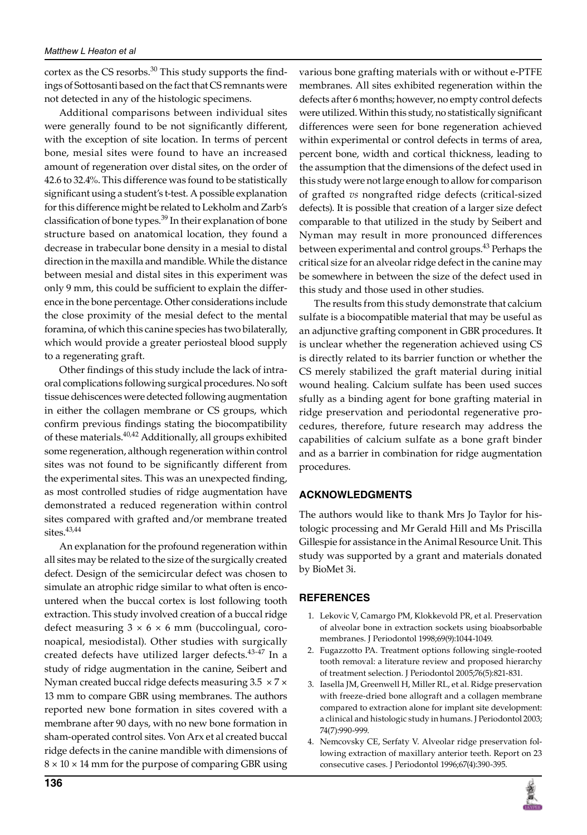cortex as the CS resorbs. $30$  This study supports the findings of Sottosanti based on the fact that CS remnants were not detected in any of the histologic specimens.

 Additional comparisons between individual sites were generally found to be not significantly different, with the exception of site location. In terms of percent bone, mesial sites were found to have an increased amount of regeneration over distal sites, on the order of 42.6 to 32.4%. This difference was found to be statistically significant using a student's t-test. A possible explanation for this difference might be related to Lekholm and Zarb's classification of bone types.<sup>39</sup> In their explanation of bone structure based on anatomical location, they found a decrease in trabecular bone density in a mesial to distal direction in the maxilla and mandible. While the distance between mesial and distal sites in this experiment was only  $9 \text{ mm}$ , this could be sufficient to explain the difference in the bone percentage. Other considerations include the close proximity of the mesial defect to the mental foramina, of which this canine species has two bilaterally, which would provide a greater periosteal blood supply to a regenerating graft.

Other findings of this study include the lack of intraoral complications following surgical procedures. No soft tissue dehiscences were detected following augmentation in either the collagen membrane or CS groups, which confirm previous findings stating the biocompatibility of these materials.<sup>40,42</sup> Additionally, all groups exhibited some regeneration, although regeneration within control sites was not found to be significantly different from the experimental sites. This was an unexpected finding, as most controlled studies of ridge augmentation have demonstrated a reduced regeneration within control sites compared with grafted and/or membrane treated sites.<sup>43,44</sup>

 An explanation for the profound regeneration within all sites may be related to the size of the surgically created defect. Design of the semicircular defect was chosen to simulate an atrophic ridge similar to what often is encountered when the buccal cortex is lost following tooth extraction. This study involved creation of a buccal ridge defect measuring  $3 \times 6 \times 6$  mm (buccolingual, coronoapical, mesiodistal). Other studies with surgically created defects have utilized larger defects.<sup>43-47</sup> In a study of ridge augmentation in the canine, Seibert and Nyman created buccal ridge defects measuring  $3.5 \times 7 \times$ 13 mm to compare GBR using membranes. The authors reported new bone formation in sites covered with a membrane after 90 days, with no new bone formation in sham-operated control sites. Von Arx et al created buccal ridge defects in the canine mandible with dimensions of  $8 \times 10 \times 14$  mm for the purpose of comparing GBR using

various bone grafting materials with or without e-PTFE membranes. All sites exhibited regeneration within the defects after 6 months; however, no empty control defects were utilized. Within this study, no statistically significant differences were seen for bone regeneration achieved within experimental or control defects in terms of area, percent bone, width and cortical thickness, leading to the assumption that the dimensions of the defect used in this study were not large enough to allow for comparison of grafted *vs* nongrafted ridge defects (critical-sized defects). It is possible that creation of a larger size defect comparable to that utilized in the study by Seibert and Nyman may result in more pronounced differences between experimental and control groups.<sup>43</sup> Perhaps the critical size for an alveolar ridge defect in the canine may be somewhere in between the size of the defect used in this study and those used in other studies.

 The results from this study demonstrate that calcium sulfate is a biocompatible material that may be useful as an adjunctive grafting component in GBR procedures. It is unclear whether the regeneration achieved using CS is directly related to its barrier function or whether the CS merely stabilized the graft material during initial wound healing. Calcium sulfate has been used succes sfully as a binding agent for bone grafting material in ridge preservation and periodontal regenerative procedures, therefore, future research may address the capabilities of calcium sulfate as a bone graft binder and as a barrier in combination for ridge augmentation procedures.

## **ACKnoWLEDGMEnTS**

The authors would like to thank Mrs Jo Taylor for histologic processing and Mr Gerald Hill and Ms Priscilla Gillespie for assistance in the Animal Resource Unit. This study was supported by a grant and materials donated by BioMet 3i.

## **REFEREnCES**

- 1. Lekovic V, Camargo PM, Klokkevold PR, et al. Preservation of alveolar bone in extraction sockets using bioabsorbable membranes. J Periodontol 1998;69(9):1044-1049.
- 2. Fugazzotto PA. Treatment options following single-rooted tooth removal: a literature review and proposed hierarchy of treatment selection. J Periodontol 2005;76(5):821-831.
- 3. Iasella JM, Greenwell H, Miller RL, et al. Ridge preservation with freeze-dried bone allograft and a collagen membrane compared to extraction alone for implant site development: a clinical and histologic study in humans. J Periodontol 2003; 74(7):990-999.
- 4. Nemcovsky CE, Serfaty V. Alveolar ridge preservation following extraction of maxillary anterior teeth. Report on 23 consecutive cases. J Periodontol 1996;67(4):390-395.

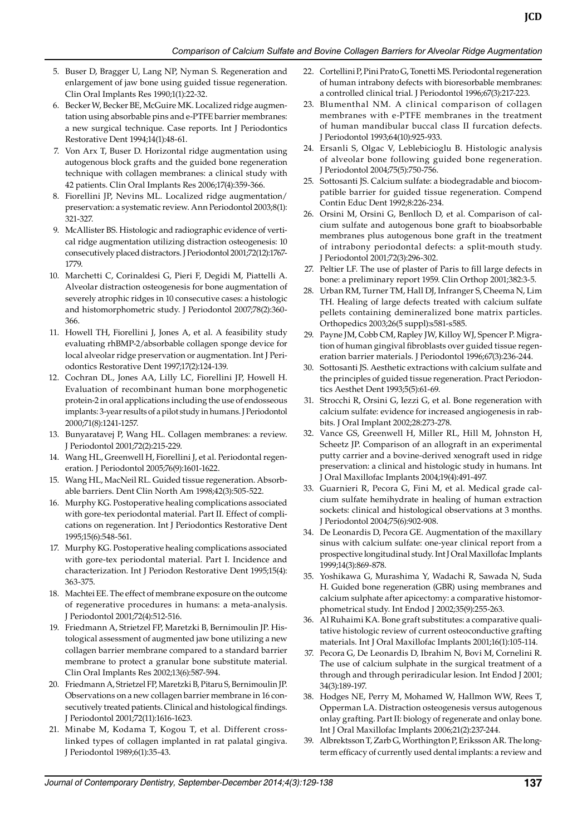#### *Comparison of Calcium Sulfate and Bovine Collagen Barriers for Alveolar Ridge Augmentation*

- 5. Buser D, Bragger U, Lang NP, Nyman S. Regeneration and enlargement of jaw bone using guided tissue regeneration. Clin Oral Implants Res 1990;1(1):22-32.
- 6. Becker W, Becker BE, McGuire MK. Localized ridge augmentation using absorbable pins and e-PTFE barrier membranes: a new surgical technique. Case reports. Int J Periodontics Restorative Dent 1994;14(1):48-61.
- 7. Von Arx T, Buser D. Horizontal ridge augmentation using autogenous block grafts and the guided bone regeneration technique with collagen membranes: a clinical study with 42 patients. Clin Oral Implants Res 2006;17(4):359-366.
- 8. Fiorellini JP, Nevins ML. Localized ridge augmentation/ preservation: a systematic review. Ann Periodontol 2003;8(1): 321-327.
- 9. McAllister BS. Histologic and radiographic evidence of vertical ridge augmentation utilizing distraction osteogenesis: 10 consecutively placed distractors. J Periodontol 2001;72(12):1767-1779.
- 10. Marchetti C, Corinaldesi G, Pieri F, Degidi M, Piattelli A. Alveolar distraction osteogenesis for bone augmentation of severely atrophic ridges in 10 consecutive cases: a histologic and histomorphometric study. J Periodontol 2007;78(2):360-366.
- 11. Howell TH, Fiorellini J, Jones A, et al. A feasibility study evaluating rhBMP-2/absorbable collagen sponge device for local alveolar ridge preservation or augmentation. Int J Periodontics Restorative Dent 1997;17(2):124-139.
- 12. Cochran DL, Jones AA, Lilly LC, Fiorellini JP, Howell H. Evaluation of recombinant human bone morphogenetic protein-2 in oral applications including the use of endosseous implants: 3-year results of a pilot study in humans. J Periodontol 2000;71(8):1241-1257.
- 13. Bunyaratavej P, Wang HL. Collagen membranes: a review. J Periodontol 2001;72(2):215-229.
- 14. Wang HL, Greenwell H, Fiorellini J, et al. Periodontal regeneration. J Periodontol 2005;76(9):1601-1622.
- 15. Wang HL, MacNeil RL. Guided tissue regeneration. Absorbable barriers. Dent Clin North Am 1998;42(3):505-522.
- 16. Murphy KG. Postoperative healing complications associated with gore-tex periodontal material. Part II. Effect of complications on regeneration. Int J Periodontics Restorative Dent 1995;15(6):548-561.
- 17. Murphy KG. Postoperative healing complications associated with gore-tex periodontal material. Part I. Incidence and characterization. Int J Periodon Restorative Dent 1995;15(4): 363-375.
- 18. Machtei EE. The effect of membrane exposure on the outcome of regenerative procedures in humans: a meta-analysis. J Periodontol 2001;72(4):512-516.
- 19. Friedmann A, Strietzel FP, Maretzki B, Bernimoulin JP. Histological assessment of augmented jaw bone utilizing a new collagen barrier membrane compared to a standard barrier membrane to protect a granular bone substitute material. Clin Oral Implants Res 2002;13(6):587-594.
- 20. Friedmann A, Strietzel FP, Maretzki B, Pitaru S, Bernimoulin JP. Observations on a new collagen barrier membrane in 16 consecutively treated patients. Clinical and histological findings. J Periodontol 2001;72(11):1616-1623.
- 21. Minabe M, Kodama T, Kogou T, et al. Different crosslinked types of collagen implanted in rat palatal gingiva. J Periodontol 1989;6(1):35-43.
- 22. Cortellini P, Pini Prato G, Tonetti MS. Periodontal regeneration of human intrabony defects with bioresorbable membranes: a controlled clinical trial. J Periodontol 1996;67(3):217-223.
- 23. Blumenthal NM. A clinical comparison of collagen membranes with e-PTFE membranes in the treatment of human mandibular buccal class II furcation defects. J Periodontol 1993;64(10):925-933.
- 24. Ersanli S, Olgac V, Leblebicioglu B. Histologic analysis of alveolar bone following guided bone regeneration. J Periodontol 2004;75(5):750-756.
- 25. Sottosanti JS. Calcium sulfate: a biodegradable and biocompatible barrier for guided tissue regeneration. Compend Contin Educ Dent 1992;8:226-234.
- 26. Orsini M, Orsini G, Benlloch D, et al. Comparison of calcium sulfate and autogenous bone graft to bioabsorbable membranes plus autogenous bone graft in the treatment of intrabony periodontal defects: a split-mouth study. J Periodontol 2001;72(3):296-302.
- 27. Peltier LF. The use of plaster of Paris to fill large defects in bone: a preliminary report 1959. Clin Orthop 2001;382:3-5.
- 28. Urban RM, Turner TM, Hall DJ, Infranger S, Cheema N, Lim TH. Healing of large defects treated with calcium sulfate pellets containing demineralized bone matrix particles. Orthopedics 2003;26(5 suppl):s581-s585.
- 29. Payne JM, Cobb CM, Rapley JW, Killoy WJ, Spencer P. Migration of human gingival fibroblasts over guided tissue regeneration barrier materials. J Periodontol 1996;67(3):236-244.
- 30. Sottosanti JS. Aesthetic extractions with calcium sulfate and the principles of guided tissue regeneration. Pract Periodontics Aesthet Dent 1993;5(5):61-69.
- 31. Strocchi R, Orsini G, Iezzi G, et al. Bone regeneration with calcium sulfate: evidence for increased angiogenesis in rabbits. J Oral Implant 2002;28:273-278.
- 32. Vance GS, Greenwell H, Miller RL, Hill M, Johnston H, Scheetz JP. Comparison of an allograft in an experimental putty carrier and a bovine-derived xenograft used in ridge preservation: a clinical and histologic study in humans. Int J Oral Maxillofac Implants 2004;19(4):491-497.
- 33. Guarnieri R, Pecora G, Fini M, et al. Medical grade calcium sulfate hemihydrate in healing of human extraction sockets: clinical and histological observations at 3 months. J Periodontol 2004;75(6):902-908.
- 34. De Leonardis D, Pecora GE. Augmentation of the maxillary sinus with calcium sulfate: one-year clinical report from a prospective longitudinal study. Int J Oral Maxillofac Implants 1999;14(3):869-878.
- 35. Yoshikawa G, Murashima Y, Wadachi R, Sawada N, Suda H. Guided bone regeneration (GBR) using membranes and calcium sulphate after apicectomy: a comparative histomorphometrical study. Int Endod J 2002;35(9):255-263.
- 36. Al Ruhaimi KA. Bone graft substitutes: a comparative qualitative histologic review of current osteoconductive grafting materials. Int J Oral Maxillofac Implants 2001;16(1):105-114.
- 37. Pecora G, De Leonardis D, Ibrahim N, Bovi M, Cornelini R. The use of calcium sulphate in the surgical treatment of a through and through periradicular lesion. Int Endod J 2001; 34(3):189-197.
- 38. Hodges NE, Perry M, Mohamed W, Hallmon WW, Rees T, Opperman LA. Distraction osteogenesis versus autogenous onlay grafting. Part II: biology of regenerate and onlay bone. Int J Oral Maxillofac Implants 2006;21(2):237-244.
- 39. Albrektsson T, Zarb G, Worthington P, Eriksson AR. The longterm efficacy of currently used dental implants: a review and